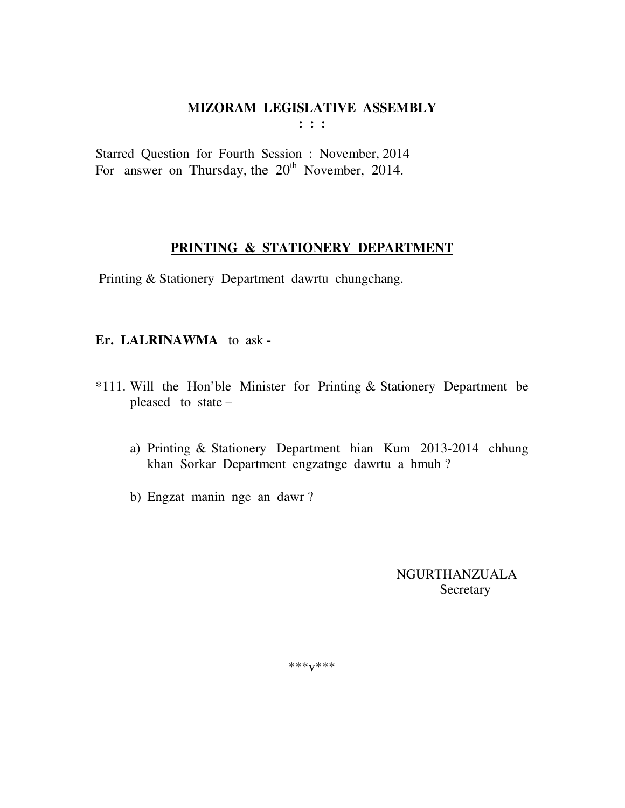$: : :$ 

Starred Question for Fourth Session : November, 2014 For answer on Thursday, the  $20<sup>th</sup>$  November, 2014.

# PRINTING & STATIONERY DEPARTMENT

Printing & Stationery Department dawrtu chungchang.

#### Er. LALRINAWMA to ask-

- \*111. Will the Hon'ble Minister for Printing & Stationery Department be pleased to state  $$ 
	- a) Printing & Stationery Department hian Kum 2013-2014 chhung khan Sorkar Department engzatnge dawrtu a hmuh?
	- b) Engzat manin nge an dawr?

**NGURTHANZUALA** Secretary

 $***V***$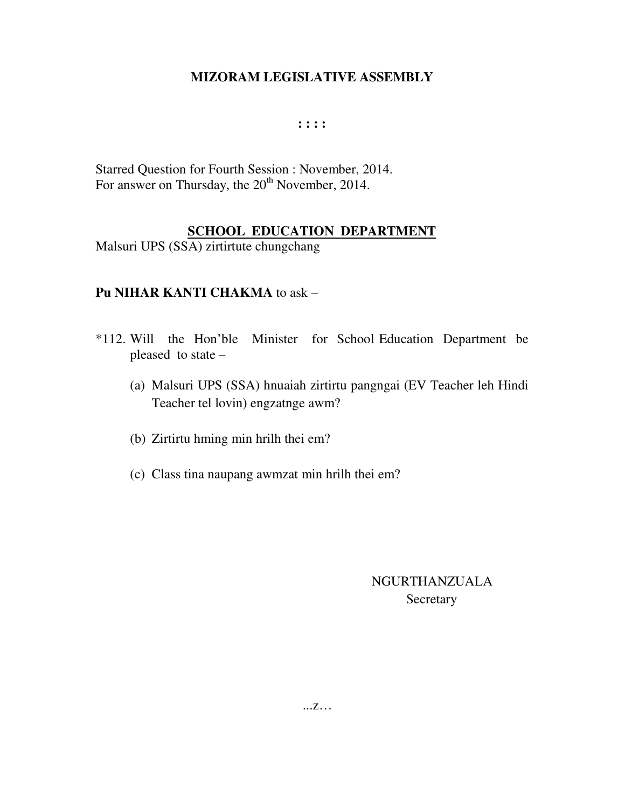#### **: : : :**

Starred Question for Fourth Session : November, 2014. For answer on Thursday, the 20<sup>th</sup> November, 2014.

# **SCHOOL EDUCATION DEPARTMENT**

Malsuri UPS (SSA) zirtirtute chungchang

# **Pu NIHAR KANTI CHAKMA** to ask –

- \*112. Will the Hon'ble Minister for School Education Department be pleased to state –
	- (a) Malsuri UPS (SSA) hnuaiah zirtirtu pangngai (EV Teacher leh Hindi Teacher tel lovin) engzatnge awm?
	- (b) Zirtirtu hming min hrilh thei em?
	- (c) Class tina naupang awmzat min hrilh thei em?

# NGURTHANZUALA Secretary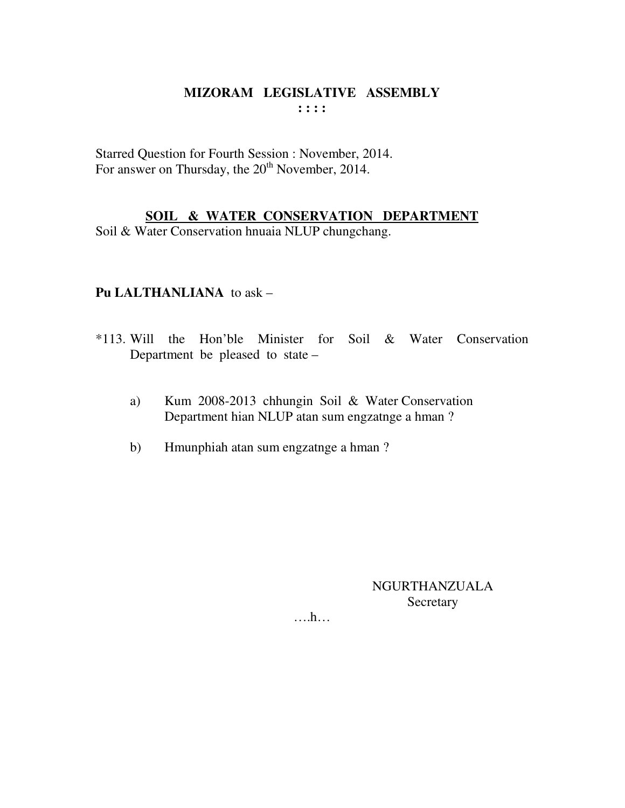#### MIZORAM LEGISLATIVE ASSEMBLY  $: : : : :$

Starred Question for Fourth Session : November, 2014. For answer on Thursday, the 20<sup>th</sup> November, 2014.

# SOIL & WATER CONSERVATION DEPARTMENT

Soil & Water Conservation hnuaia NLUP chungchang.

# Pu LALTHANLIANA to ask -

- \*113. Will the Hon'ble Minister for Soil & Water Conservation Department be pleased to state –
	- Kum 2008-2013 chhungin Soil & Water Conservation a) Department hian NLUP atan sum engzatnge a hman?
	- Hmunphiah atan sum engzatnge a hman?  $b)$

**NGURTHANZUALA** Secretary

 $\dots h\dots$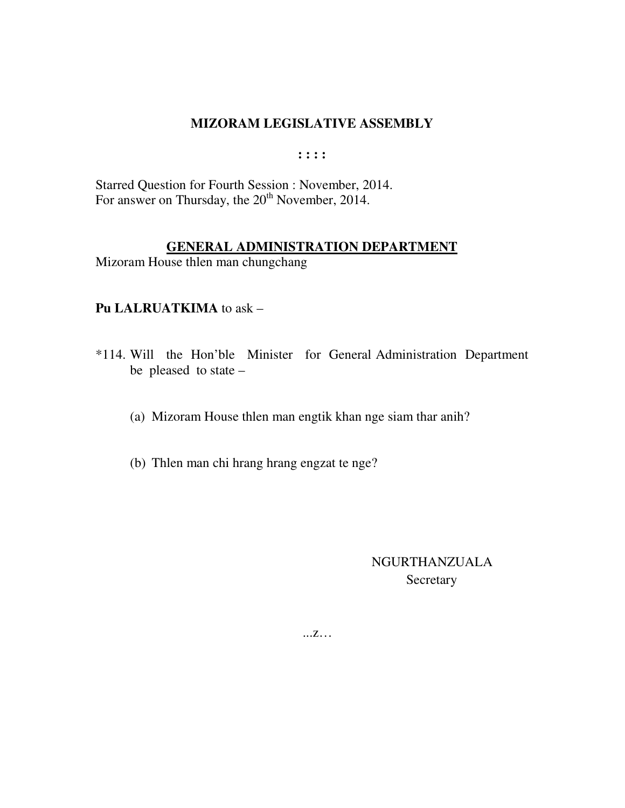**: : : :** 

Starred Question for Fourth Session : November, 2014. For answer on Thursday, the  $20<sup>th</sup>$  November, 2014.

#### **GENERAL ADMINISTRATION DEPARTMENT**

Mizoram House thlen man chungchang

#### **Pu LALRUATKIMA** to ask –

- \*114. Will the Hon'ble Minister for General Administration Department be pleased to state –
	- (a) Mizoram House thlen man engtik khan nge siam thar anih?
	- (b) Thlen man chi hrang hrang engzat te nge?

# NGURTHANZUALA **Secretary**

...z…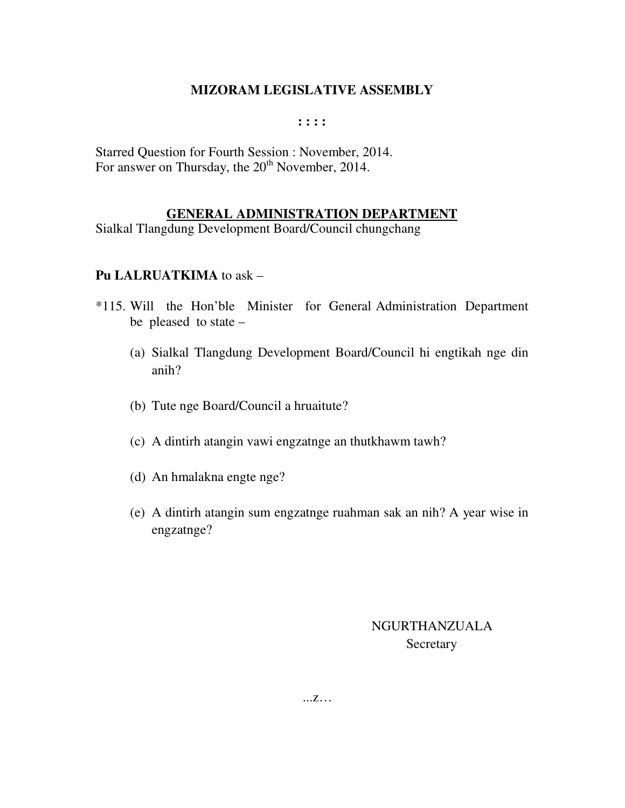#### **: : : :**

Starred Question for Fourth Session : November, 2014. For answer on Thursday, the  $20<sup>th</sup>$  November, 2014.

#### **GENERAL ADMINISTRATION DEPARTMENT**

Sialkal Tlangdung Development Board/Council chungchang

#### **Pu LALRUATKIMA** to ask –

- \*115. Will the Hon'ble Minister for General Administration Department be pleased to state –
	- (a) Sialkal Tlangdung Development Board/Council hi engtikah nge din anih?
	- (b) Tute nge Board/Council a hruaitute?
	- (c) A dintirh atangin vawi engzatnge an thutkhawm tawh?
	- (d) An hmalakna engte nge?
	- (e) A dintirh atangin sum engzatnge ruahman sak an nih? A year wise in engzatnge?

# NGURTHANZUALA **Secretary**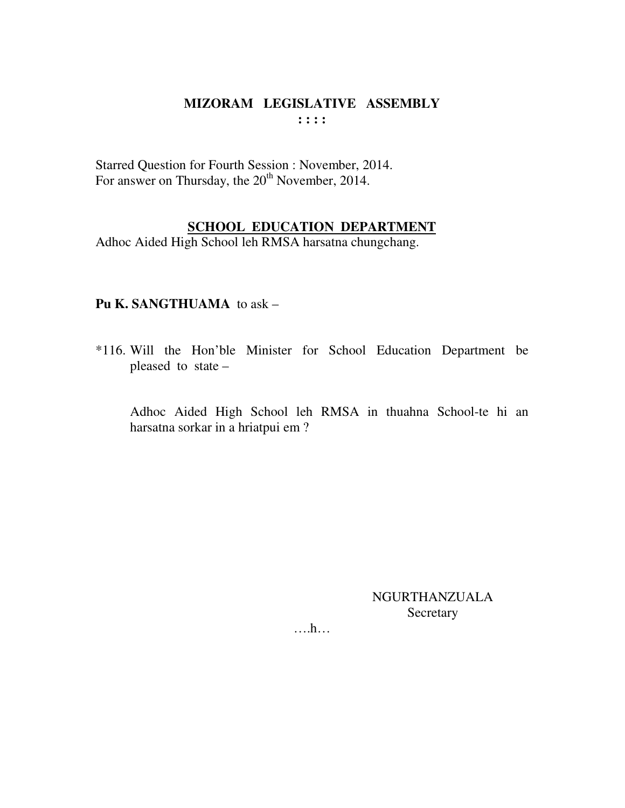#### **MIZORAM LEGISLATIVE ASSEMBLY : : : :**

Starred Question for Fourth Session : November, 2014. For answer on Thursday, the 20<sup>th</sup> November, 2014.

# **SCHOOL EDUCATION DEPARTMENT**

Adhoc Aided High School leh RMSA harsatna chungchang.

# **Pu K. SANGTHUAMA** to ask –

\*116. Will the Hon'ble Minister for School Education Department be pleased to state –

 Adhoc Aided High School leh RMSA in thuahna School-te hi an harsatna sorkar in a hriatpui em ?

> NGURTHANZUALA **Secretary**

….h…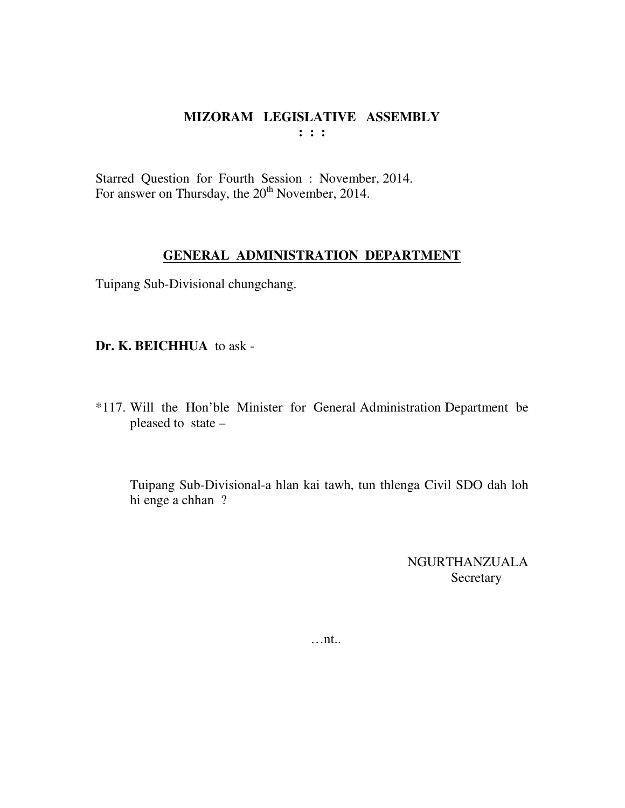Starred Question for Fourth Session : November, 2014. For answer on Thursday, the  $20<sup>th</sup>$  November, 2014.

#### **GENERAL ADMINISTRATION DEPARTMENT**

Tuipang Sub-Divisional chungchang.

**Dr. K. BEICHHUA** to ask -

\*117. Will the Hon'ble Minister for General Administration Department be pleased to state –

 Tuipang Sub-Divisional-a hlan kai tawh, tun thlenga Civil SDO dah loh hi enge a chhan ?

> NGURTHANZUALA Secretary

…nt..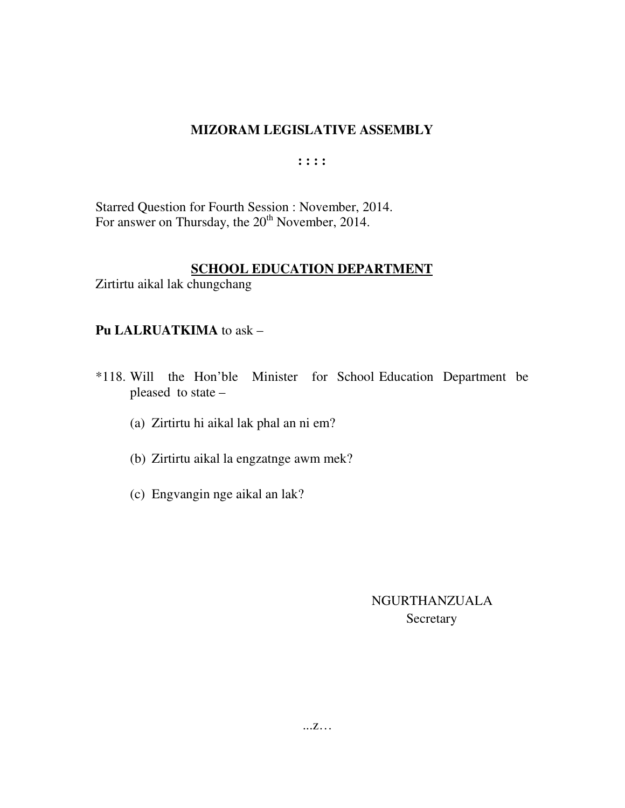$: : : :$ 

Starred Question for Fourth Session : November, 2014. For answer on Thursday, the 20<sup>th</sup> November, 2014.

# **SCHOOL EDUCATION DEPARTMENT**

Zirtirtu aikal lak chungchang

# Pu LALRUATKIMA to ask -

- \*118. Will the Hon'ble Minister for School Education Department be pleased to state -
	- (a) Zirtirtu hi aikal lak phal an ni em?
	- (b) Zirtirtu aikal la engzatnge awm mek?
	- (c) Engvangin nge aikal an lak?

# **NGURTHANZUALA** Secretary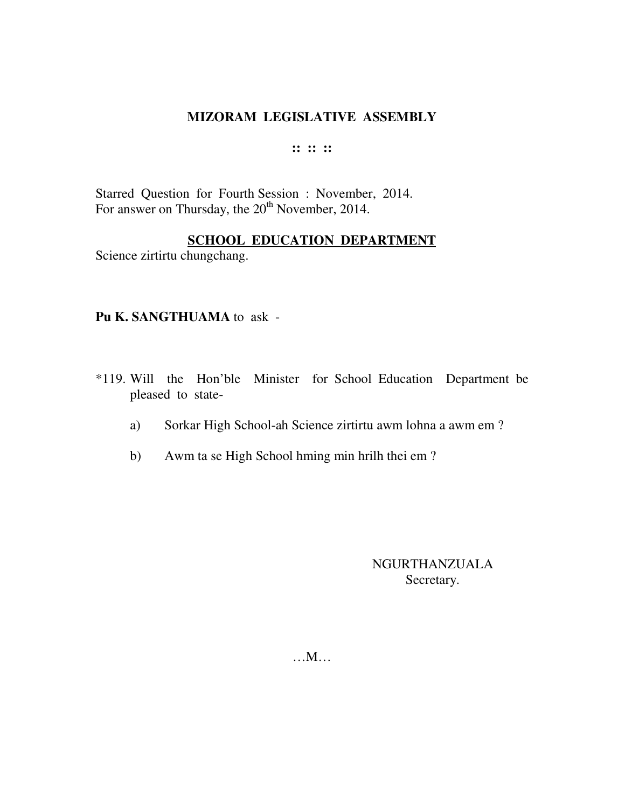#### **:: :: ::**

Starred Question for Fourth Session : November, 2014. For answer on Thursday, the 20<sup>th</sup> November, 2014.

#### **SCHOOL EDUCATION DEPARTMENT**

Science zirtirtu chungchang.

#### **Pu K. SANGTHUAMA** to ask -

- \*119. Will the Hon'ble Minister for School Education Department be pleased to state
	- a) Sorkar High School-ah Science zirtirtu awm lohna a awm em ?
	- b) Awm ta se High School hming min hrilh thei em ?

NGURTHANZUALA Secretary.

…M…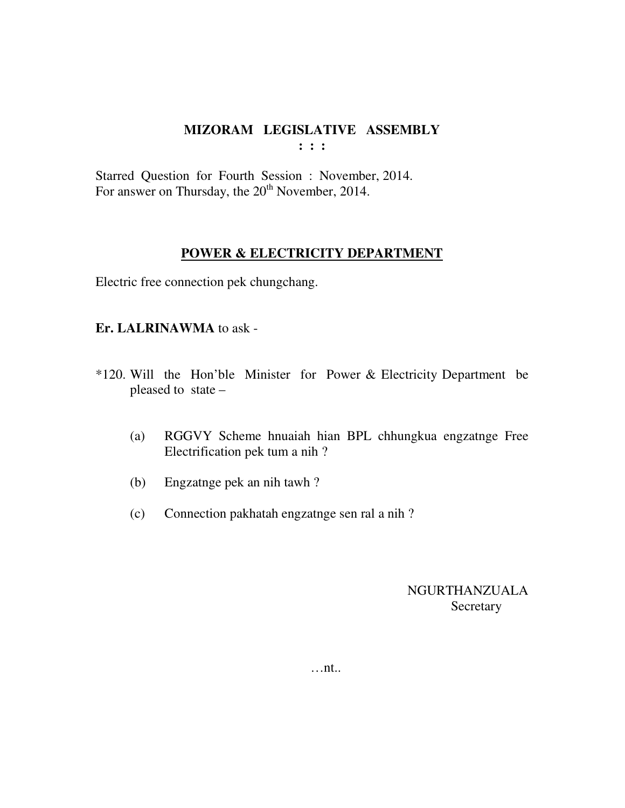**: : :** 

Starred Question for Fourth Session : November, 2014. For answer on Thursday, the 20<sup>th</sup> November, 2014.

#### **POWER & ELECTRICITY DEPARTMENT**

Electric free connection pek chungchang.

#### **Er. LALRINAWMA** to ask -

- \*120. Will the Hon'ble Minister for Power & Electricity Department be pleased to state –
	- (a) RGGVY Scheme hnuaiah hian BPL chhungkua engzatnge Free Electrification pek tum a nih ?
	- (b) Engzatnge pek an nih tawh ?
	- (c) Connection pakhatah engzatnge sen ral a nih ?

NGURTHANZUALA **Secretary** 

…nt..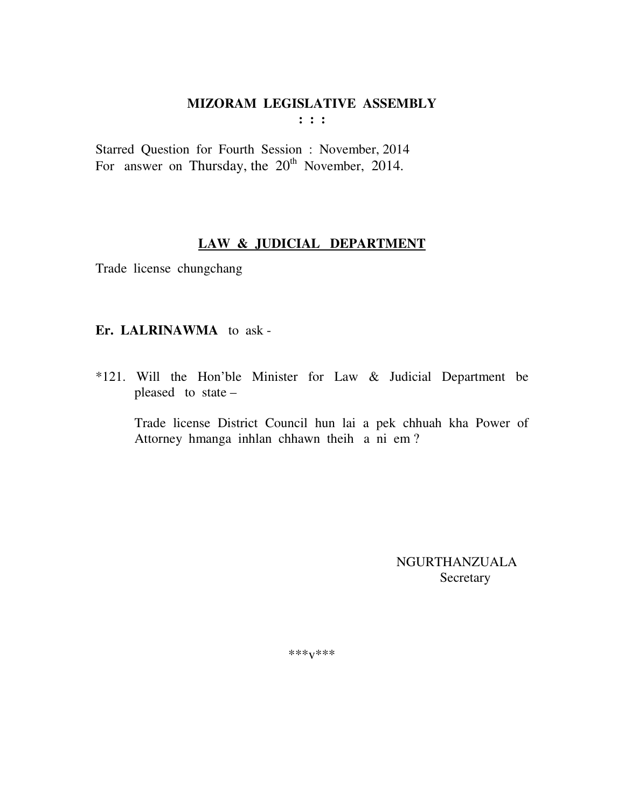$: : :$ 

Starred Question for Fourth Session : November, 2014 For answer on Thursday, the 20<sup>th</sup> November, 2014.

# LAW & JUDICIAL DEPARTMENT

Trade license chungchang

# Er. LALRINAWMA to ask-

\*121. Will the Hon'ble Minister for Law & Judicial Department be pleased to state -

Trade license District Council hun lai a pek chhuah kha Power of Attorney hmanga inhlan chhawn theih a ni em?

> **NGURTHANZUALA** Secretary

\*\*\* $V$ \*\*\*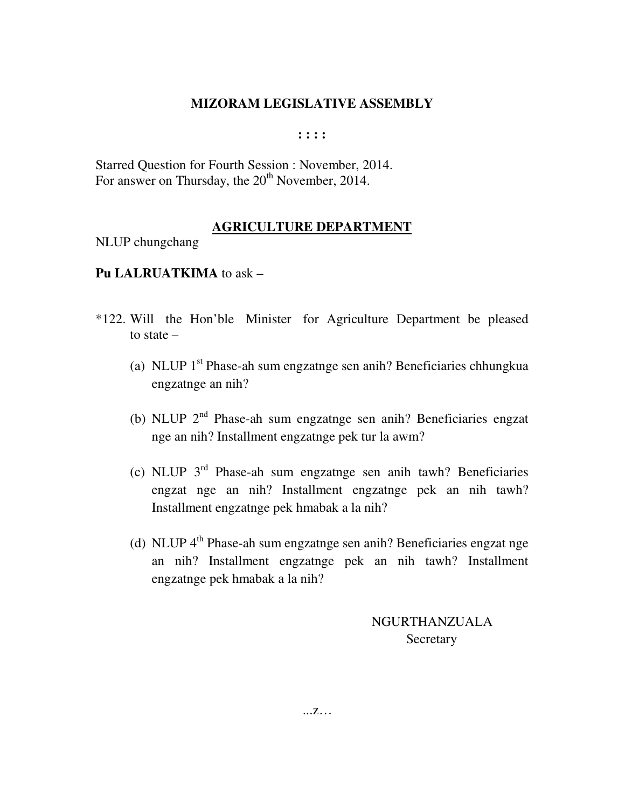**: : : :** 

Starred Question for Fourth Session : November, 2014. For answer on Thursday, the  $20<sup>th</sup>$  November, 2014.

#### **AGRICULTURE DEPARTMENT**

NLUP chungchang

#### **Pu LALRUATKIMA** to ask –

- \*122. Will the Hon'ble Minister for Agriculture Department be pleased to state –
	- (a) NLUP  $1<sup>st</sup>$  Phase-ah sum engzatnge sen anih? Beneficiaries chhungkua engzatnge an nih?
	- (b) NLUP 2nd Phase-ah sum engzatnge sen anih? Beneficiaries engzat nge an nih? Installment engzatnge pek tur la awm?
	- (c) NLUP  $3<sup>rd</sup>$  Phase-ah sum engzatnge sen anih tawh? Beneficiaries engzat nge an nih? Installment engzatnge pek an nih tawh? Installment engzatnge pek hmabak a la nih?
	- (d) NLUP 4<sup>th</sup> Phase-ah sum engzatnge sen anih? Beneficiaries engzat nge an nih? Installment engzatnge pek an nih tawh? Installment engzatnge pek hmabak a la nih?

 NGURTHANZUALA **Secretary** 

...z…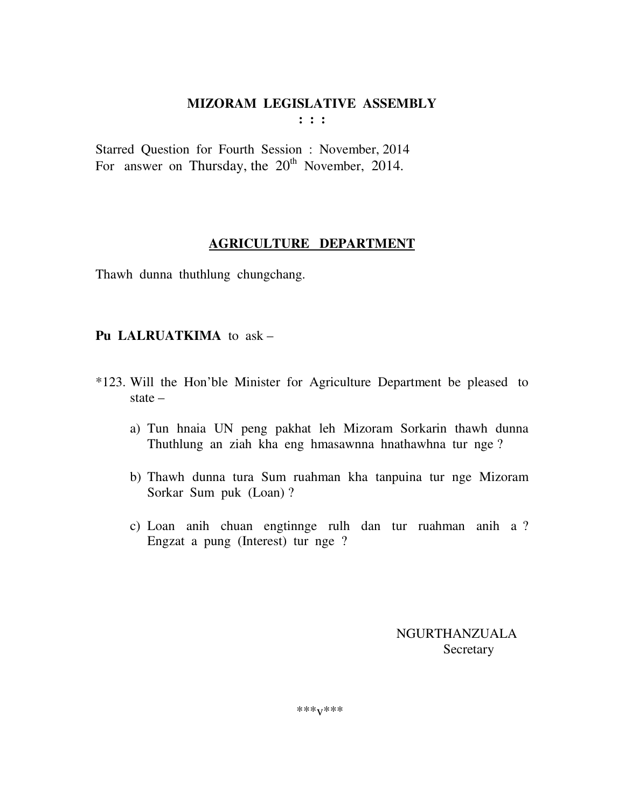**: : :** 

Starred Question for Fourth Session : November, 2014 For answer on Thursday, the  $20<sup>th</sup>$  November, 2014.

# **AGRICULTURE DEPARTMENT**

Thawh dunna thuthlung chungchang.

# **Pu LALRUATKIMA** to ask –

- \*123. Will the Hon'ble Minister for Agriculture Department be pleased to state –
	- a) Tun hnaia UN peng pakhat leh Mizoram Sorkarin thawh dunna Thuthlung an ziah kha eng hmasawnna hnathawhna tur nge ?
	- b) Thawh dunna tura Sum ruahman kha tanpuina tur nge Mizoram Sorkar Sum puk (Loan) ?
	- c) Loan anih chuan engtinnge rulh dan tur ruahman anih a ? Engzat a pung (Interest) tur nge ?

 NGURTHANZUALA **Secretary**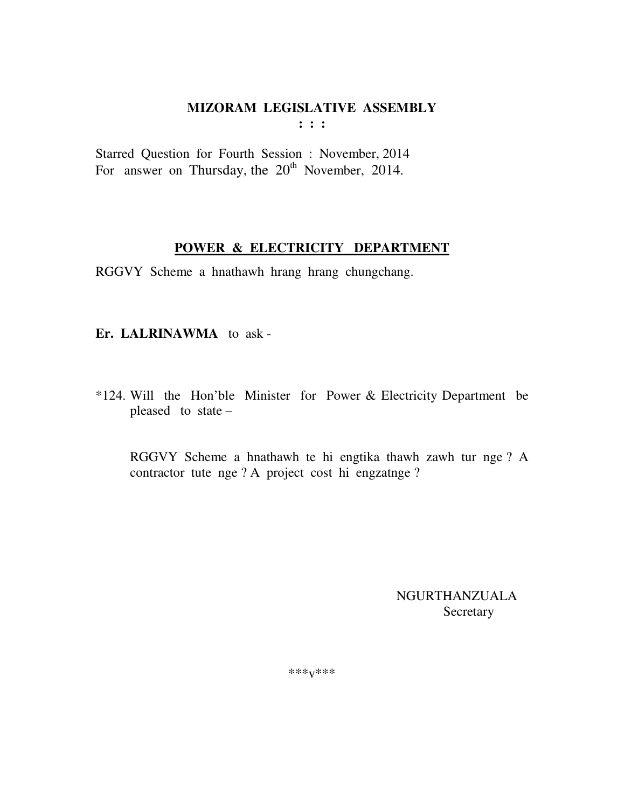**: : :** 

Starred Question for Fourth Session : November, 2014 For answer on Thursday, the  $20<sup>th</sup>$  November, 2014.

# **POWER & ELECTRICITY DEPARTMENT**

RGGVY Scheme a hnathawh hrang hrang chungchang.

**Er. LALRINAWMA** to ask -

\*124. Will the Hon'ble Minister for Power & Electricity Department be pleased to state –

 RGGVY Scheme a hnathawh te hi engtika thawh zawh tur nge ? A contractor tute nge ? A project cost hi engzatnge ?

> NGURTHANZUALA **Secretary**

\*\*\*v\*\*\*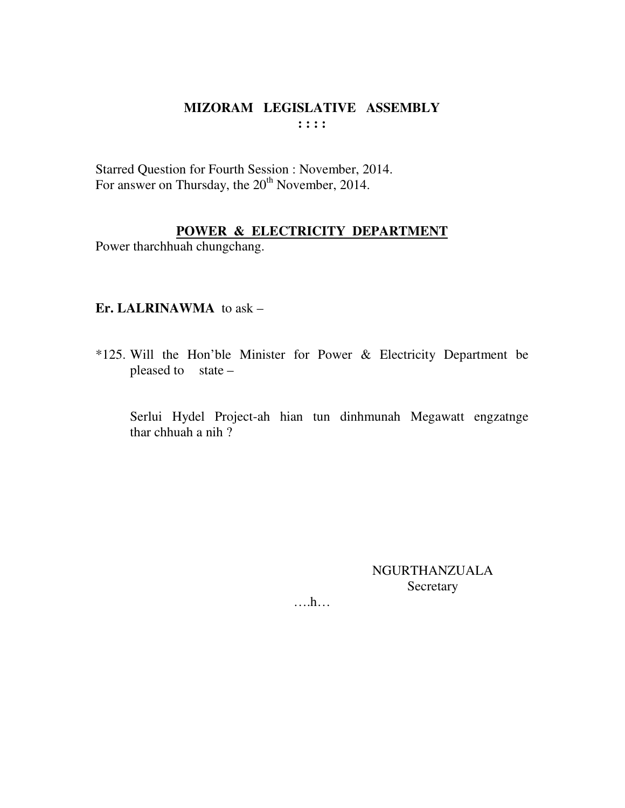# MIZORAM LEGISLATIVE ASSEMBLY  $: : : :$

Starred Question for Fourth Session : November, 2014. For answer on Thursday, the 20<sup>th</sup> November, 2014.

# POWER & ELECTRICITY DEPARTMENT

Power tharchhuah chungchang.

#### Er. LALRINAWMA to  $ask -$

\*125. Will the Hon'ble Minister for Power & Electricity Department be pleased to  $state -$ 

Serlui Hydel Project-ah hian tun dinhmunah Megawatt engzatnge thar chhuah a nih?

> NGURTHANZUALA Secretary

 $\dots h\dots$